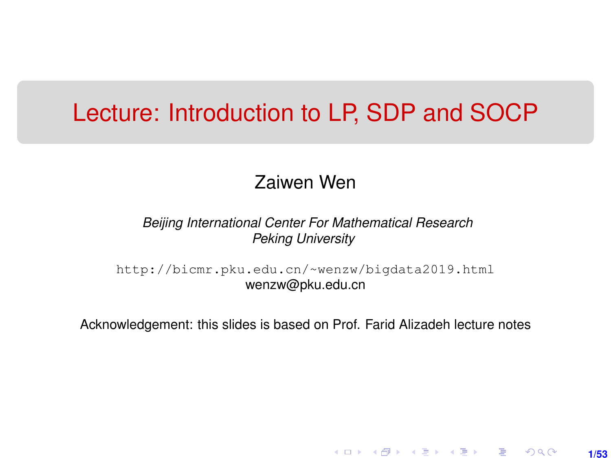## <span id="page-0-0"></span>Lecture: Introduction to LP, SDP and SOCP

#### Zaiwen Wen

#### *Beijing International Center For Mathematical Research Peking University*

[http://bicmr.pku.edu.cn/~wenzw/bigdata2019.html](http://bicmr.pku.edu.cn/~wenzw/bigdata2019.html ) wenzw@pku.edu.cn

Acknowledgement: this slides is based on Prof. Farid Alizadeh lecture notes

**1/53**

K ロ ▶ K 레 ▶ K 회 ▶ K 회 ▶ │ 회 │ ⊙ Q Q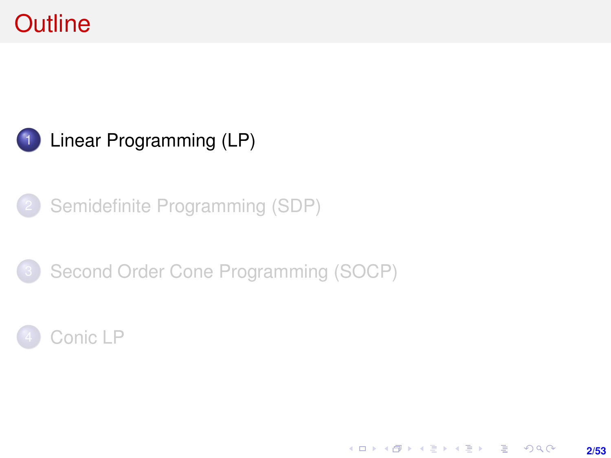# <span id="page-1-0"></span>**Outline**



[Semidefinite Programming \(SDP\)](#page-12-0)





K ロ ▶ K @ ▶ K 할 ▶ K 할 ▶ ( 할 ) + 9 Q Q **2/53**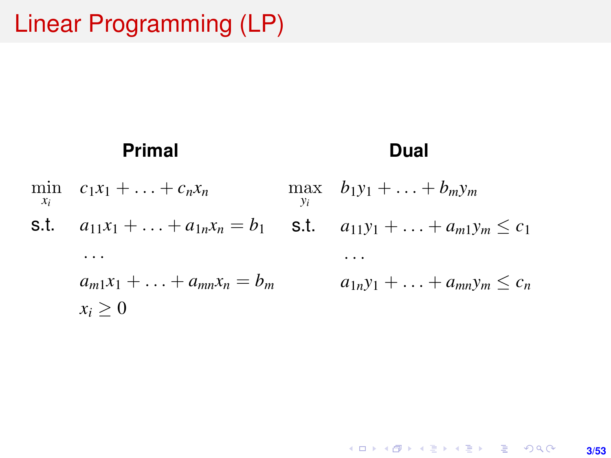# Linear Programming (LP)

#### **Primal** min *xi*  $c_1x_1 + \ldots + c_nx_n$ s.t.  $a_{11}x_1 + \ldots + a_{1n}x_n = b_1$  s.t.  $a_{11}y_1 + \ldots + a_{m1}y_m \le c_1$ . . .  $a_{m1}x_1 + \ldots + a_{mn}x_n = b_m$  $x_i > 0$ **Dual**  $\max_{m}$   $b_1y_1 + ... + b_my_m$ *yi* . . .  $a_{1n}y_1 + \ldots + a_{mn}y_m \leq c_n$

KORK (FRANCISK EN ARCH **3/53**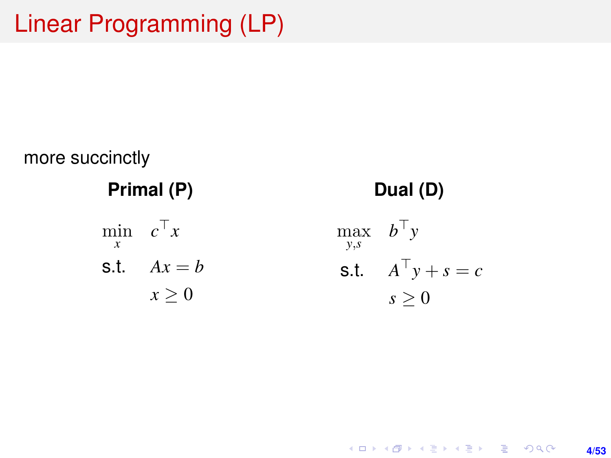# Linear Programming (LP)



K ロ ▶ K @ ▶ K 할 > K 할 > 1 할 > 1 이익어 **4/53**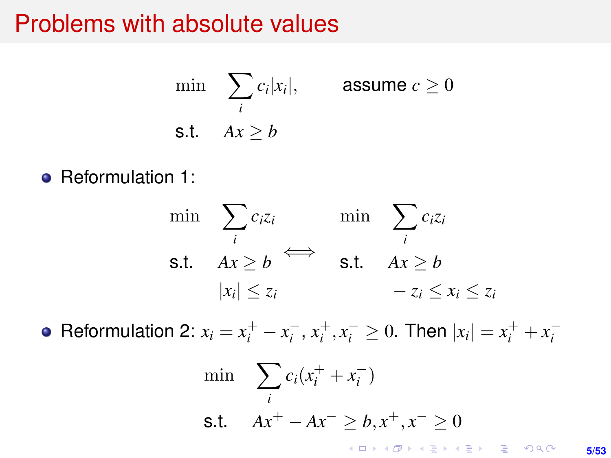### Problems with absolute values

$$
\min \sum_{i} c_i |x_i|, \qquad \text{assume } c \ge 0
$$
\n
$$
\text{s.t.} \quad Ax \ge b
$$

• Reformulation 1:

$$
\min \quad \sum_{i} c_i z_i \qquad \text{min} \quad \sum_{i} c_i z_i
$$
\n
$$
\text{s.t.} \quad Ax \ge b \qquad \text{s.t.} \quad Ax \ge b
$$
\n
$$
|x_i| \le z_i \qquad \qquad -z_i \le x_i \le z_i
$$

Reformulation 2:  $x_i = x_i^+ - x_i^-, x_i^+, x_i^- \ge 0$ . Then  $|x_i| = x_i^+ + x_i^-$ 

$$
\min \sum_{i} c_i (x_i^+ + x_i^-)
$$
\n
$$
\text{s.t.} \quad Ax^+ - Ax^- \geq b, x^+, x^- \geq 0
$$

**5/53**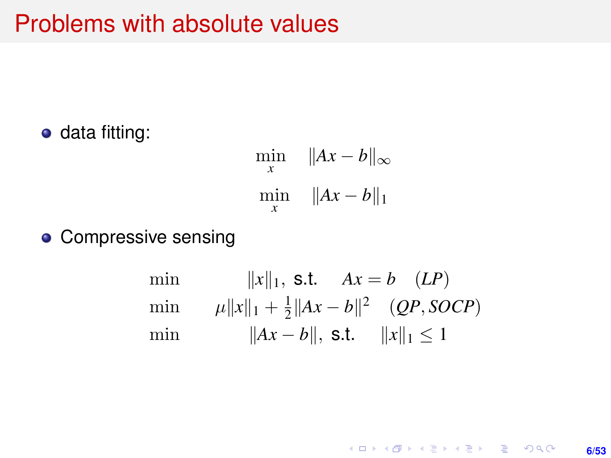## Problems with absolute values

• data fitting:

$$
\min_{x} \quad \|Ax - b\|_{\infty}
$$
  

$$
\min_{x} \quad \|Ax - b\|_{1}
$$

**• Compressive sensing** 

min 
$$
||x||_1
$$
, s.t.  $Ax = b$  (LP)  
\nmin  $\mu ||x||_1 + \frac{1}{2} ||Ax - b||^2$  (QP, SOCP)  
\nmin  $||Ax - b||$ , s.t.  $||x||_1 \le 1$ 

K ロ ▶ K @ ▶ K 할 > K 할 > 1 할 > 1 이익어 **6/53**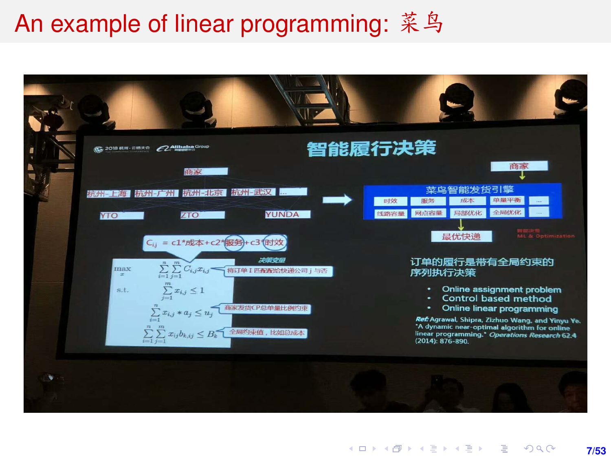# An example of linear programming: 菜鸟

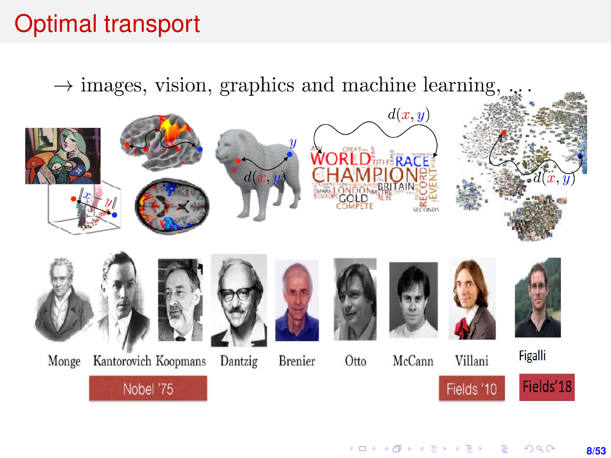# Optimal transport

 $\rightarrow$  images, vision, graphics and machine learning,

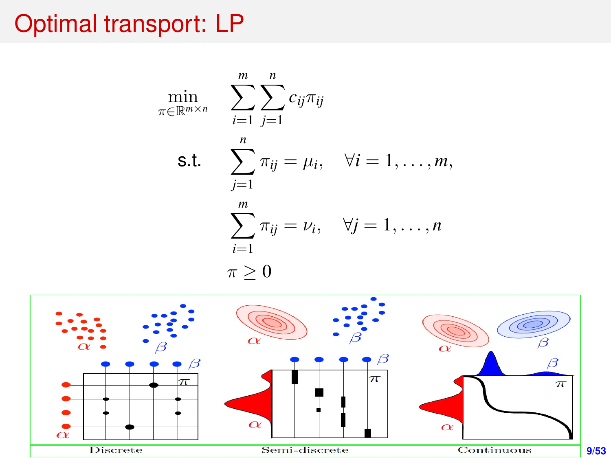# Optimal transport: LP

$$
\min_{\pi \in \mathbb{R}^{m \times n}} \sum_{i=1}^{m} \sum_{j=1}^{n} c_{ij} \pi_{ij}
$$
\n
$$
\text{s.t.} \sum_{j=1}^{n} \pi_{ij} = \mu_i, \quad \forall i = 1, \dots, m,
$$
\n
$$
\sum_{i=1}^{m} \pi_{ij} = \nu_i, \quad \forall j = 1, \dots, n
$$
\n
$$
\pi \ge 0
$$

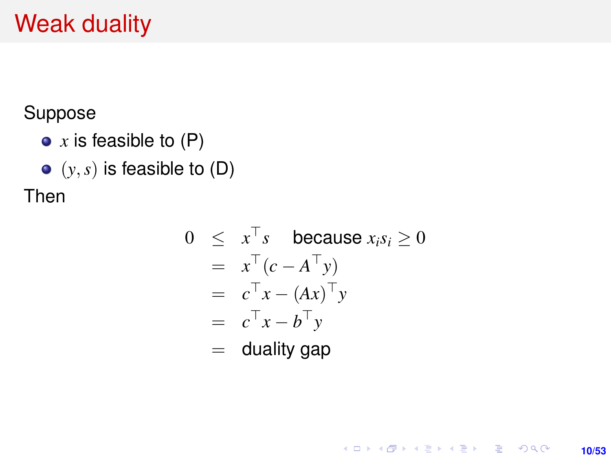# Weak duality

Suppose

- *x* is feasible to (P)
- $\bullet$   $(y, s)$  is feasible to  $(D)$

Then

$$
0 \leq x^{\top} s \text{ because } x_i s_i \geq 0
$$
  
=  $x^{\top} (c - A^{\top} y)$   
=  $c^{\top} x - (Ax)^{\top} y$   
=  $c^{\top} x - b^{\top} y$   
= duality gap

**10/53**

K ロ ▶ K @ ▶ K 할 ▶ K 할 ▶ ... 할 → 9 Q @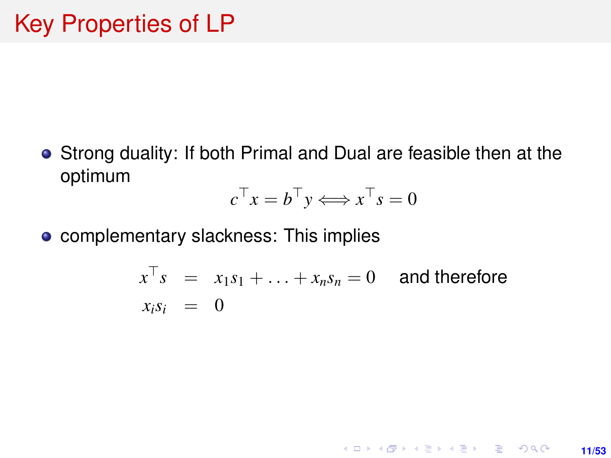Strong duality: If both Primal and Dual are feasible then at the optimum

$$
c^{\top} x = b^{\top} y \Longleftrightarrow x^{\top} s = 0
$$

**•** complementary slackness: This implies

$$
x^{\top} s = x_1 s_1 + \ldots + x_n s_n = 0
$$
 and therefore  

$$
x_i s_i = 0
$$

**11/53**

**KORKARK KERKER DRAM**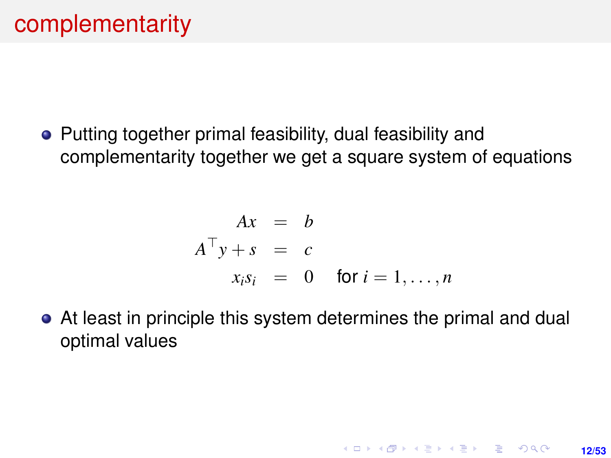• Putting together primal feasibility, dual feasibility and complementarity together we get a square system of equations

$$
Ax = b
$$
  
\n
$$
A^{\top}y + s = c
$$
  
\n
$$
x_i s_i = 0 \text{ for } i = 1, ..., n
$$

**12/53**

**KORKARKKER E DAG** 

At least in principle this system determines the primal and dual optimal values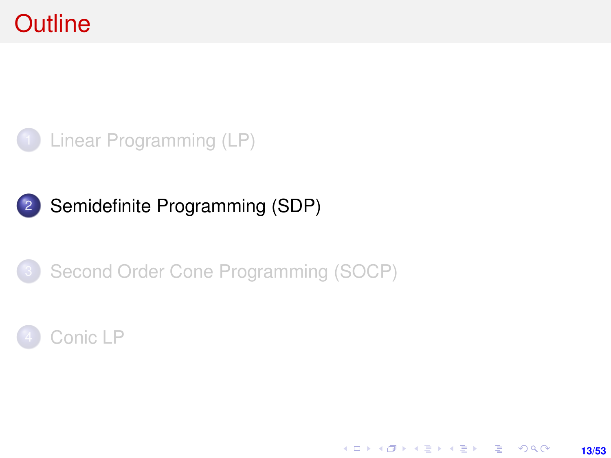# <span id="page-12-0"></span>**Outline**



### 2 [Semidefinite Programming \(SDP\)](#page-12-0)

#### 3 [Second Order Cone Programming \(SOCP\)](#page-32-0)



K ロ ▶ K @ ▶ K 할 ▶ K 할 ▶ ... 할 → 9 Q @ **13/53**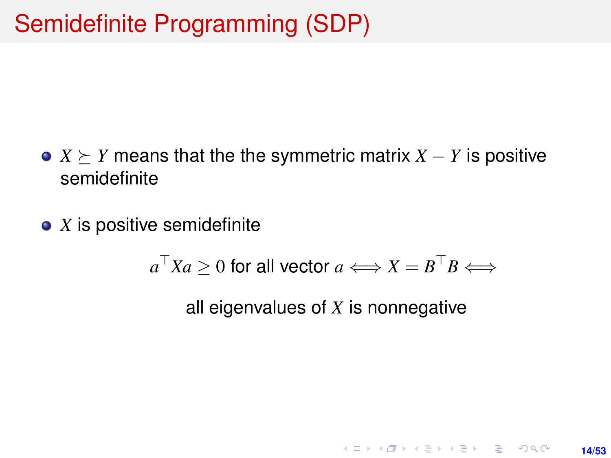- $X \succeq Y$  means that the the symmetric matrix  $X Y$  is positive semidefinite
- *X* is positive semidefinite

$$
a^{\top}Xa \ge 0 \text{ for all vector } a \Longleftrightarrow X = B^{\top}B \Longleftrightarrow
$$

all eigenvalues of *X* is nonnegative

**KORKARK KERKER DRAM** 

**14/53**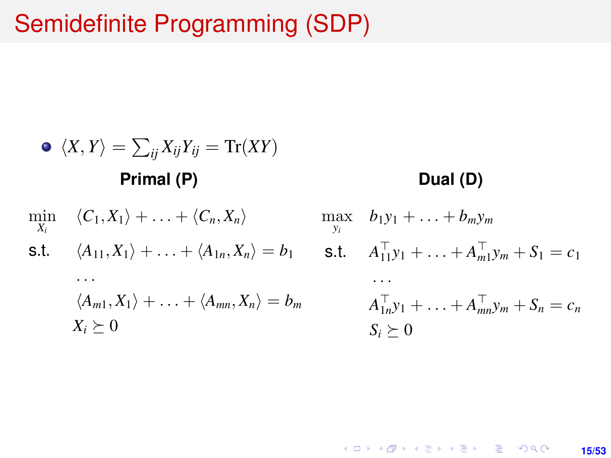# Semidefinite Programming (SDP)

$$
\begin{aligned}\n\bullet \langle X, Y \rangle &= \sum_{ij} X_{ij} Y_{ij} = \text{Tr}(XY) \\
\text{Primal (P)} & \text{Dual (D)} \\
\min_{X_i} \langle C_1, X_1 \rangle + \ldots + \langle C_n, X_n \rangle & \max_{y_i} b_1 y_1 + \ldots + b_m y_m \\
\text{s.t.} \quad & \langle A_{11}, X_1 \rangle + \ldots + \langle A_{1n}, X_n \rangle = b_1 \quad \text{s.t.} \quad A_{11}^\top y_1 + \ldots + A_{m1}^\top y_m + S_1 = c_1 \\
& \cdots & \cdots & \cdots \\
& \langle A_{m1}, X_1 \rangle + \ldots + \langle A_{mn}, X_n \rangle = b_m \quad \text{if } A_{1n}^\top y_1 + \ldots + A_{mn}^\top y_m + S_n = c_n \\
& X_i \geq 0 \quad \text{if } S_i \geq 0\n\end{aligned}
$$

K ロ X (日) X (日) X (日) X (日) X (日) X (日) X (日) X (日) X (日) X (日) **15/53**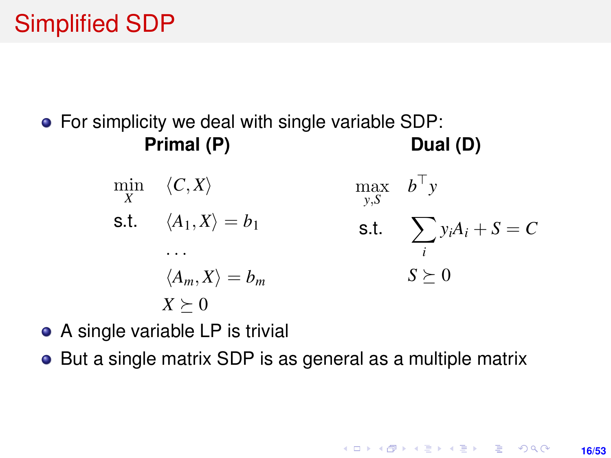# <span id="page-15-0"></span>Simplified SDP

• For simplicity we deal with single variable SDP: **Primal (P) Dual (D)**

> $\min_{X} \quad \langle C, X \rangle$ s.t.  $\langle A_1, X \rangle = b_1$ . . .  $\langle A_m, X \rangle = b_m$  $X \succeq 0$  $\max$  *b*<sup>T</sup>*y y*,*S* s.t.  $\sum$ *i*  $y_iA_i + S = C$  $S \succeq 0$

- A single variable LP is trivial
- But a single matrix SDP is as general as a multiple matrix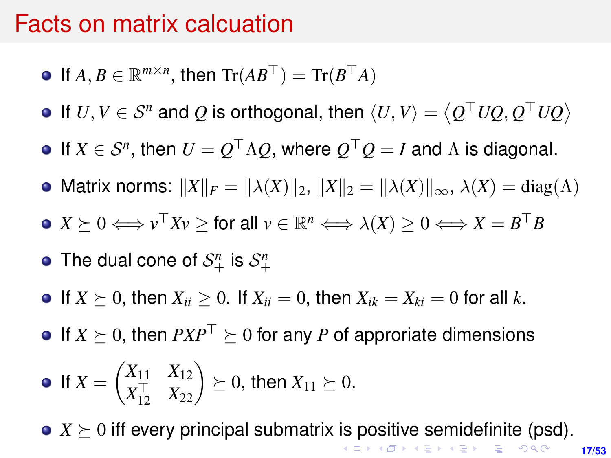#### <span id="page-16-0"></span>Facts on matrix calcuation

- If  $A, B \in \mathbb{R}^{m \times n}$ , then  $\text{Tr}(AB^{\top}) = \text{Tr}(B^{\top}A)$
- If  $U, V \in \mathcal{S}^n$  and  $Q$  is orthogonal, then  $\langle U, V \rangle = \langle Q^\top U Q, Q^\top U Q \rangle$
- If  $X \in \mathcal{S}^n$ , then  $U = Q^\top \Lambda Q$ , where  $Q^\top Q = I$  and  $\Lambda$  is diagonal.
- Matrix norms:  $||X||_F = ||\lambda(X)||_2$ ,  $||X||_2 = ||\lambda(X)||_{\infty}$ ,  $\lambda(X) = \text{diag}(\Lambda)$
- $X \succeq 0 \Longleftrightarrow v^\top X v \geq \text{for all } v \in \mathbb{R}^n \Longleftrightarrow \lambda(X) \geq 0 \Longleftrightarrow X = B^\top B$
- The dual cone of  $\mathcal{S}^n_+$  is  $\mathcal{S}^n_+$
- If  $X \succ 0$ , then  $X_{ii} > 0$ . If  $X_{ii} = 0$ , then  $X_{ik} = X_{ki} = 0$  for all k.
- $\bullet$  If  $X \succeq 0$ , then  $PXP^{\top} \succeq 0$  for any *P* of approriate dimensions

• If 
$$
X = \begin{pmatrix} X_{11} & X_{12} \\ X_{12}^{\top} & X_{22} \end{pmatrix} \succeq 0
$$
, then  $X_{11} \succeq 0$ .

•  $X \succeq 0$  $X \succeq 0$  $X \succeq 0$  iff every principal submatrix [is](#page-15-0) [po](#page-17-0)s[iti](#page-16-0)[v](#page-17-0)[e](#page-0-0) [se](#page-52-0)[mi](#page-0-0)[de](#page-52-0)[fi](#page-0-0)[nite](#page-52-0) (psd).

**17/53**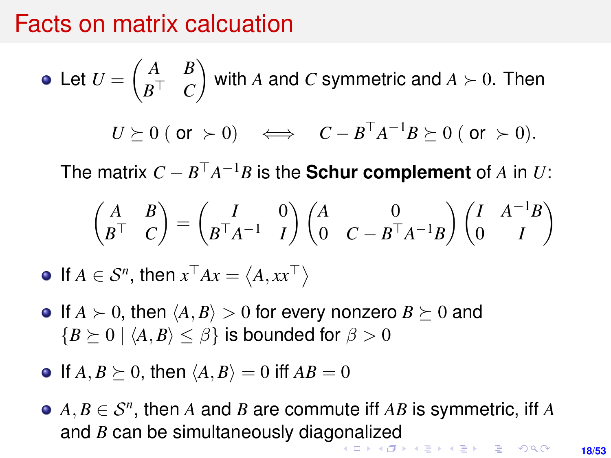### <span id="page-17-0"></span>Facts on matrix calcuation

• Let 
$$
U = \begin{pmatrix} A & B \\ B^{\top} & C \end{pmatrix}
$$
 with A and C symmetric and  $A \succ 0$ . Then  
\n $U \succeq 0$  (or  $\succ 0$ )  $\iff C - B^{\top} A^{-1} B \succeq 0$  (or  $\succ 0$ ).

The matrix  $C - B^{\top}A^{-1}B$  is the **Schur complement** of  $A$  in  $U$ :

$$
\begin{pmatrix} A & B \\ B^{\top} & C \end{pmatrix} = \begin{pmatrix} I & 0 \\ B^{\top} A^{-1} & I \end{pmatrix} \begin{pmatrix} A & 0 \\ 0 & C - B^{\top} A^{-1} B \end{pmatrix} \begin{pmatrix} I & A^{-1} B \\ 0 & I \end{pmatrix}
$$

If  $A \in \mathcal{S}^n$ , then  $x^\top Ax = \langle A, xx^\top \rangle$ 

- $\bullet$  If  $A \succ 0$ , then  $\langle A, B \rangle > 0$  for every nonzero  $B \succeq 0$  and  ${B \geq 0 \mid \langle A, B \rangle \leq \beta}$  is bounded for  $\beta > 0$
- $\bullet$  If  $A, B \succeq 0$ , then  $\langle A, B \rangle = 0$  iff  $AB = 0$
- $A, B \in \mathcal{S}^n$ , then *A* and *B* are commute iff *AB* is symmetric, iff *A* and *B* can be simultaneously diag[on](#page-16-0)[ali](#page-18-0)[z](#page-16-0)[ed](#page-17-0)<br>All the state of the state of the state of the state of the state of the state of the state of the state of the state of the state of the state of the state of the state of the st

**18/53**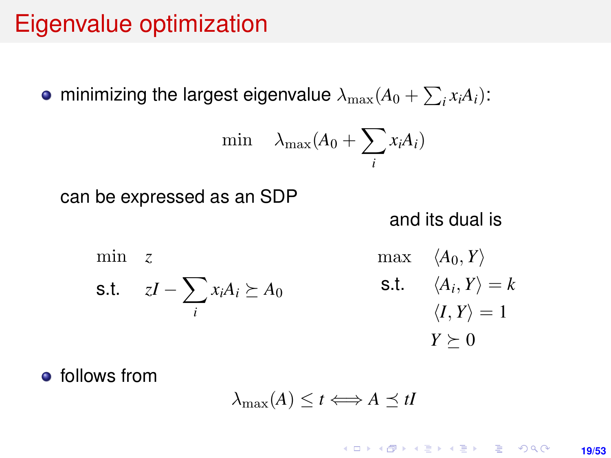# <span id="page-18-0"></span>Eigenvalue optimization

minimizing the largest eigenvalue  $\lambda_{\max}(A_0 + \sum_i x_i A_i)$ :

$$
\min \quad \lambda_{\max}(A_0 + \sum_i x_i A_i)
$$

can be expressed as an SDP

and its dual is

min *z* s.t.  $zI - \sum$ *i*  $x_iA_i \succeq A_0$  $max \langle A_0, Y \rangle$ s.t.  $\langle A_i, Y \rangle = k$  $\langle I, Y \rangle = 1$  $Y \succeq 0$ 

**•** follows from

$$
\lambda_{\max}(A) \leq t \Longleftrightarrow A \preceq tI
$$

**KORKARK A BIK BIKA A GA A GA A GA A BIKA A BIKA A BIKA A BIKA A BIKA A BIKA A BIKA A BIKA A BIKA A BIKA A BIKA 19/53**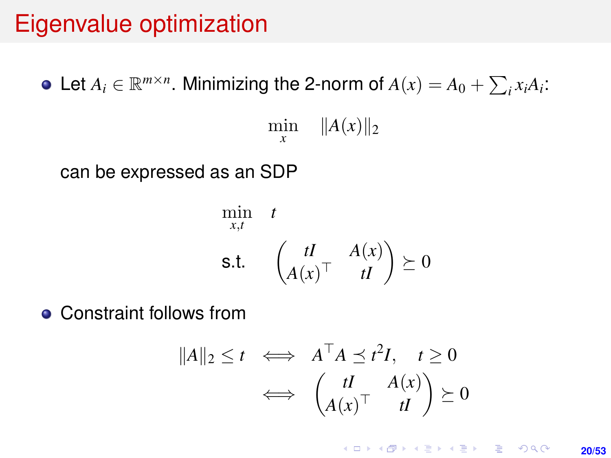# Eigenvalue optimization

Let  $A_i \in \mathbb{R}^{m \times n}$ . Minimizing the 2-norm of  $A(x) = A_0 + \sum_i x_i A_i$ : min  $||A(x)||_2$ *x* can be expressed as an SDP

$$
\min_{x,t} \quad t
$$
\n
$$
\text{s.t.} \quad \begin{pmatrix} tI & A(x) \\ A(x)^\top & tI \end{pmatrix} \succeq 0
$$

**• Constraint follows from** 

$$
||A||_2 \le t \iff A^\top A \preceq t^2 I, \quad t \ge 0
$$
  

$$
\iff \begin{pmatrix} tI & A(x) \\ A(x)^\top & tI \end{pmatrix} \succeq 0
$$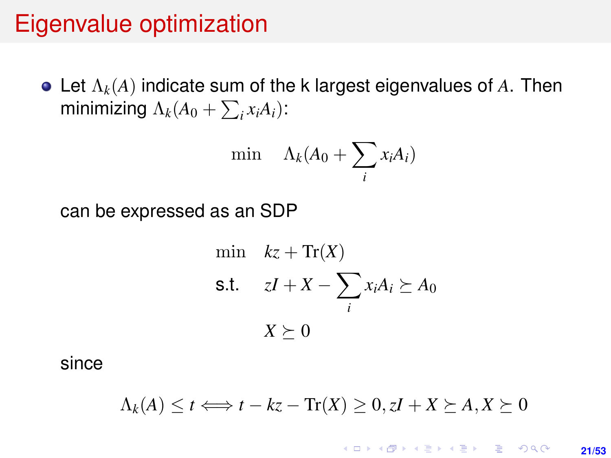## Eigenvalue optimization

Let Λ*k*(*A*) indicate sum of the k largest eigenvalues of *A*. Then minimizing  $\Lambda_k(A_0 + \sum_i x_i A_i)$ :

$$
\min \quad \Lambda_k(A_0 + \sum_i x_i A_i)
$$

can be expressed as an SDP

min 
$$
kz + \text{Tr}(X)
$$
  
\ns.t.  $zI + X - \sum_i x_i A_i \succeq A_0$   
\n $X \succeq 0$ 

since

$$
\Lambda_k(A) \le t \Longleftrightarrow t - kz - \text{Tr}(X) \ge 0, zI + X \succeq A, X \succeq 0
$$

**KORKARK KERKER DRAM 21/53**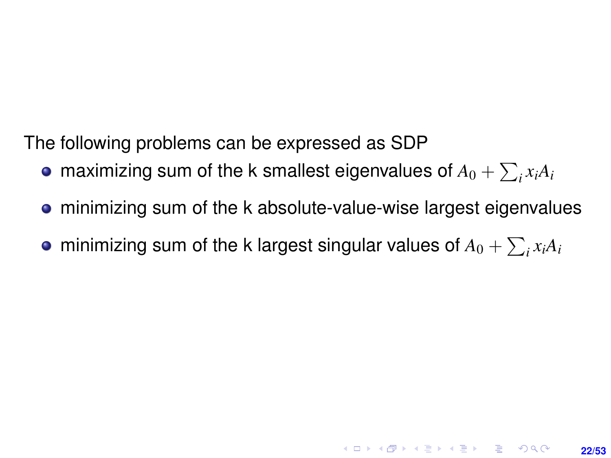The following problems can be expressed as SDP

- maximizing sum of the k smallest eigenvalues of  $A_0 + \sum_i x_i A_i$
- minimizing sum of the k absolute-value-wise largest eigenvalues

**22/53**

**KORKAR KERKER E VOOR** 

minimizing sum of the k largest singular values of  $A_0 + \sum_i x_i A_i$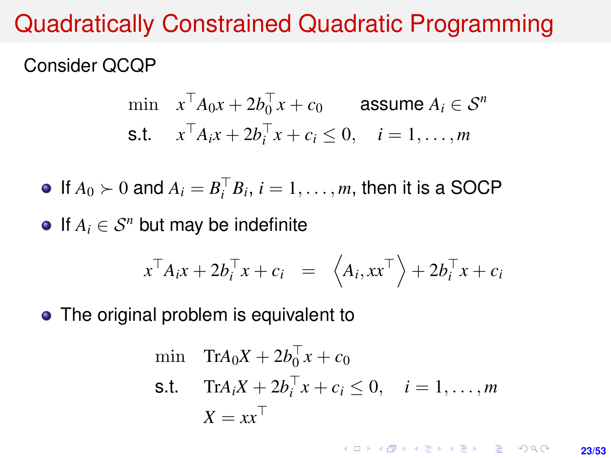## Quadratically Constrained Quadratic Programming

#### Consider QCQP

$$
\begin{aligned}\n\min \quad & x^\top A_0 x + 2b_0^\top x + c_0 \qquad \text{assume } A_i \in \mathcal{S}^n \\
\text{s.t.} \quad & x^\top A_i x + 2b_i^\top x + c_i \le 0, \quad i = 1, \dots, m\n\end{aligned}
$$

If  $A_0 \succ 0$  and  $A_i = B_i^\top B_i$ ,  $i = 1, \ldots, m$ , then it is a SOCP

 $\bullet$  If  $A_i$  ∈  $S^n$  but may be indefinite

$$
x^{\top} A_i x + 2b_i^{\top} x + c_i = \langle A_i, xx^{\top} \rangle + 2b_i^{\top} x + c_i
$$

• The original problem is equivalent to

$$
\begin{aligned}\n\min \quad & \text{Tr}A_0 X + 2b_0^\top x + c_0 \\
\text{s.t.} \quad & \text{Tr}A_i X + 2b_i^\top x + c_i \le 0, \quad i = 1, \dots, m \\
& X = xx^\top\n\end{aligned}
$$

**KORKARK KERKER DRAM 23/53**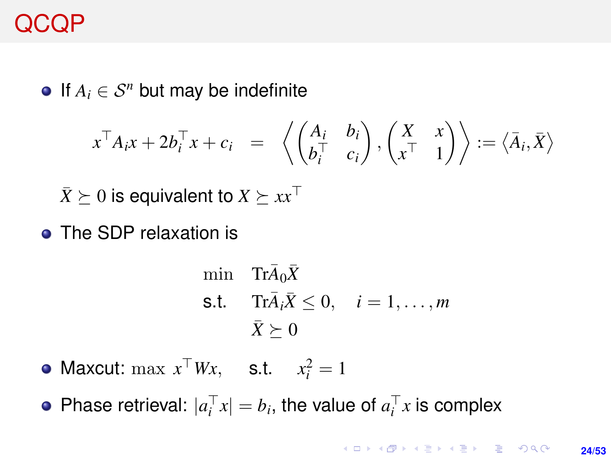# QCQP

 $\bullet$  If  $A_i$  ∈  $S^n$  but may be indefinite

$$
x^{\top} A_i x + 2b_i^{\top} x + c_i = \left\langle \begin{pmatrix} A_i & b_i \\ b_i^{\top} & c_i \end{pmatrix}, \begin{pmatrix} X & x \\ x^{\top} & 1 \end{pmatrix} \right\rangle := \left\langle \overline{A}_i, \overline{X} \right\rangle
$$

 $\bar{X}$   $\succeq$  0 is equivalent to  $X \succeq xx^\top$ 

• The SDP relaxation is

$$
\begin{aligned}\n\min \quad & \text{Tr}\bar{A}_0 \bar{X} \\
\text{s.t.} \quad & \text{Tr}\bar{A}_i \bar{X} \le 0, \quad i = 1, \dots, m \\
& \bar{X} \succeq 0\n\end{aligned}
$$

Maxcut:  $\max x^{\top}Wx$ , s.t.  $x_i^2 = 1$ 

Phase retrieval:  $|a_i^{\top} x| = b_i$ , the value of  $a_i^{\top} x$  is complex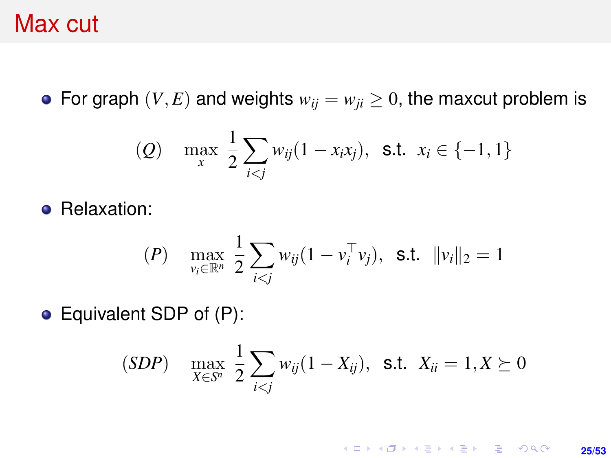### Max cut

• For graph  $(V, E)$  and weights  $w_{ij} = w_{ji} \geq 0$ , the maxcut problem is

(Q) 
$$
\max_{x} \frac{1}{2} \sum_{i < j} w_{ij} (1 - x_i x_j), \text{ s.t. } x_i \in \{-1, 1\}
$$

**•** Relaxation:

$$
(P) \quad \max_{v_i \in \mathbb{R}^n} \frac{1}{2} \sum_{i < j} w_{ij} (1 - v_i^\top v_j), \quad \text{s.t.} \quad \|v_i\|_2 = 1
$$

Equivalent SDP of (P):

$$
(SDP) \quad \max_{X \in S^n} \frac{1}{2} \sum_{i < j} w_{ij} (1 - X_{ij}), \ \ \text{s.t.} \ \ X_{ii} = 1, X \succeq 0
$$

K ロ ▶ K @ ▶ K 할 ▶ K 할 ▶ ... 할 → 9 Q @ **25/53**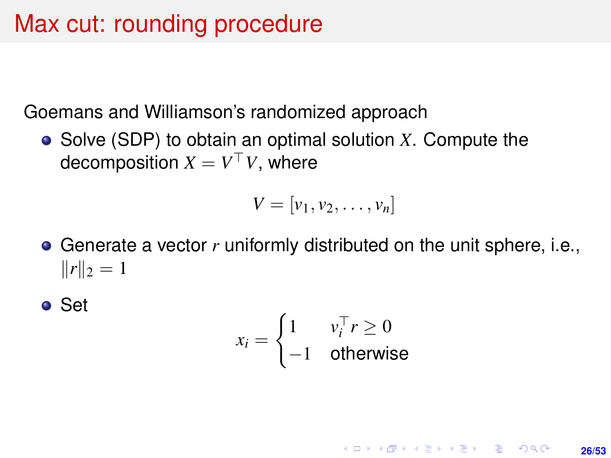# Max cut: rounding procedure

Goemans and Williamson's randomized approach

Solve (SDP) to obtain an optimal solution *X*. Compute the decomposition  $X = V^\top V$ , where

$$
V=[v_1,v_2,\ldots,v_n]
$$

Generate a vector *r* uniformly distributed on the unit sphere, i.e.,  $||r||_2 = 1$ 

● Set

$$
x_i = \begin{cases} 1 & v_i^\top r \ge 0 \\ -1 & \text{otherwise} \end{cases}
$$

**KORKARK KERKER DRAM 26/53**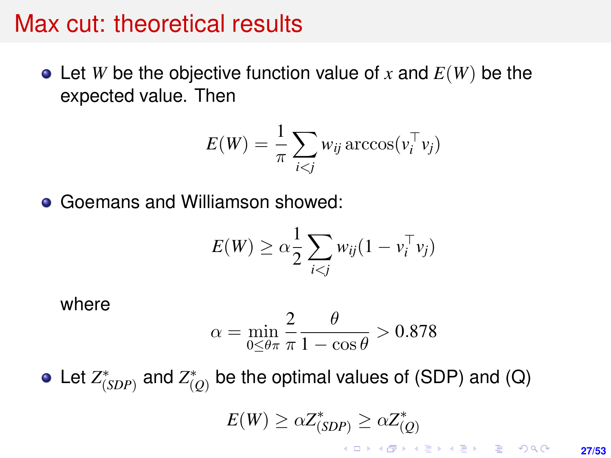#### Max cut: theoretical results

 $\bullet$  Let *W* be the objective function value of *x* and  $E(W)$  be the expected value. Then

$$
E(W) = \frac{1}{\pi} \sum_{i < j} w_{ij} \arccos(v_i^{\top} v_j)
$$

Goemans and Williamson showed:  $\bullet$ 

$$
E(W) \geq \alpha \frac{1}{2} \sum_{i < j} w_{ij} (1 - v_i^\top v_j)
$$

where

$$
\alpha = \min_{0 \le \theta \pi} \frac{2}{\pi} \frac{\theta}{1 - \cos \theta} > 0.878
$$

Let  $Z^*_{(SDP)}$  and  $Z^*_{(Q)}$  be the optimal values of (SDP) and (Q)  $E(W) \geq \alpha Z_{(SDP)}^* \geq \alpha Z_{(Q)}^*$ 

**27/53**

K □ X K @ X K 할 X K 할 X \_ 할 X Y Q Q O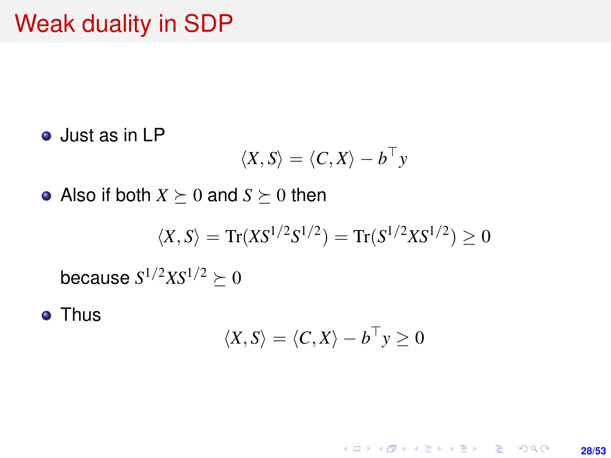## Weak duality in SDP

Just as in LP

$$
\langle X, S \rangle = \langle C, X \rangle - b^{\top} y
$$

• Also if both  $X \succeq 0$  and  $S \succeq 0$  then

$$
\langle X,S\rangle=\text{Tr}(X S^{1/2}S^{1/2})=\text{Tr}(S^{1/2}X S^{1/2})\geq 0
$$

because  $S^{1/2} X S^{1/2} \succeq 0$ 

**• Thus** 

$$
\langle X, S \rangle = \langle C, X \rangle - b^{\top} y \ge 0
$$

K ロ ▶ K @ ▶ K 할 ▶ K 할 ▶ 이 할 → 9 Q @ **28/53**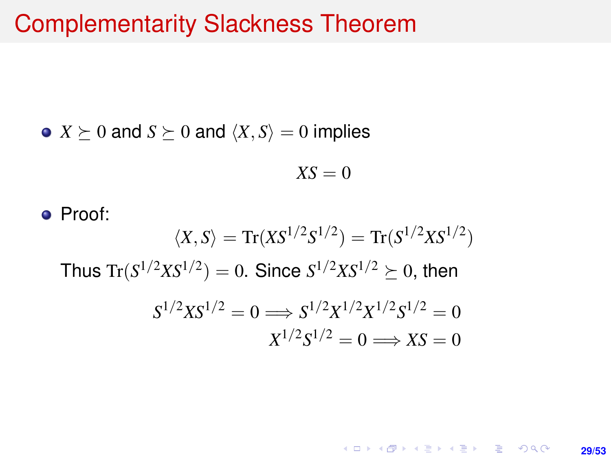#### Complementarity Slackness Theorem

• 
$$
X \succeq 0
$$
 and  $S \succeq 0$  and  $\langle X, S \rangle = 0$  implies

$$
X S = 0
$$

• Proof:  $\langle X, S \rangle = \text{Tr}(X S^{1/2} S^{1/2}) = \text{Tr}(S^{1/2} X S^{1/2})$ Thus  $\text{Tr}(S^{1/2}XS^{1/2}) = 0$ . Since  $S^{1/2}XS^{1/2} \succeq 0$ , then  $S^{1/2}XS^{1/2} = 0 \Longrightarrow S^{1/2}X^{1/2}X^{1/2}S^{1/2} = 0$  $X^{1/2}S^{1/2} = 0 \Longrightarrow XS = 0$ 

> **KORKARK KERKER DRAM 29/53**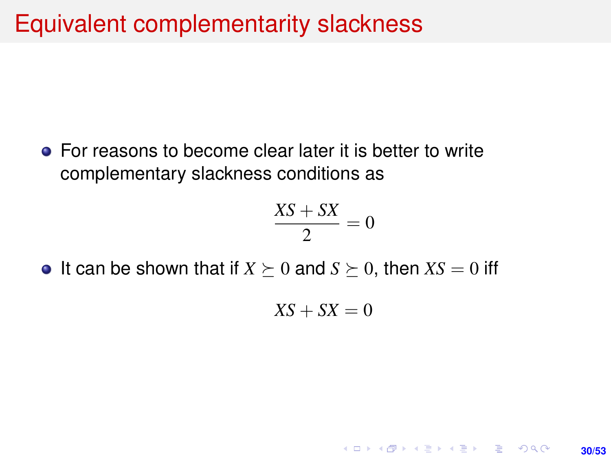• For reasons to become clear later it is better to write complementary slackness conditions as

$$
\frac{XS+SX}{2}=0
$$

• It can be shown that if  $X \succeq 0$  and  $S \succeq 0$ , then  $XS = 0$  iff

$$
XS+SX=0
$$

**30/53**

**KORKARK KERKER DRAM**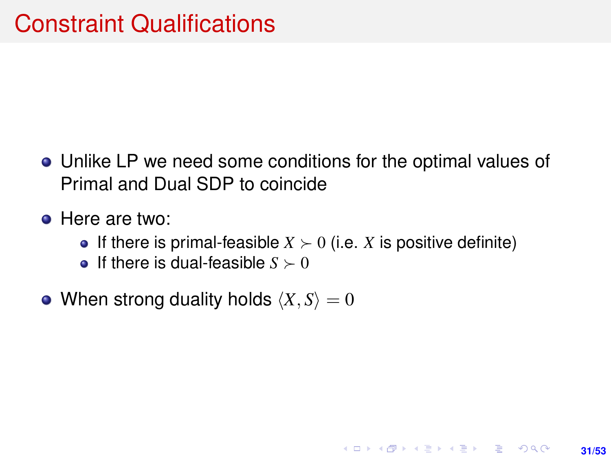- Unlike LP we need some conditions for the optimal values of Primal and Dual SDP to coincide
- **•** Here are two:
	- If there is primal-feasible  $X \succ 0$  (i.e. X is positive definite)

**31/53**

KO KARK KEK LE KORA

- **•** If there is dual-feasible  $S \succ 0$
- When strong duality holds  $\langle X, S \rangle = 0$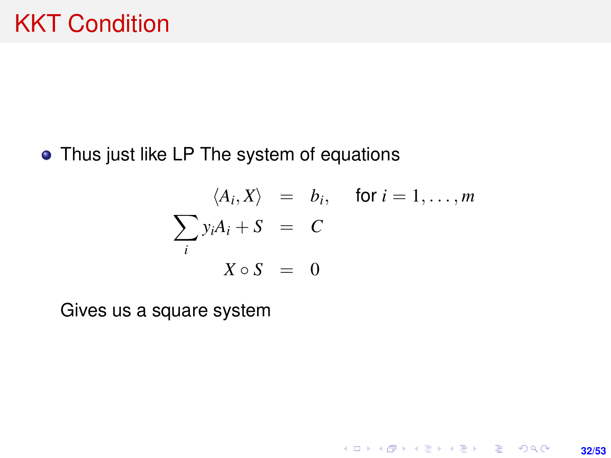#### • Thus just like LP The system of equations

$$
\langle A_i, X \rangle = b_i, \quad \text{for } i = 1, \dots, m
$$

$$
\sum_i y_i A_i + S = C
$$

$$
X \circ S = 0
$$

**32/53**

K ロ X (日) X (日) X (日) X (日) X (日) X (日) X (日) X (日) X (日) X (日)

Gives us a square system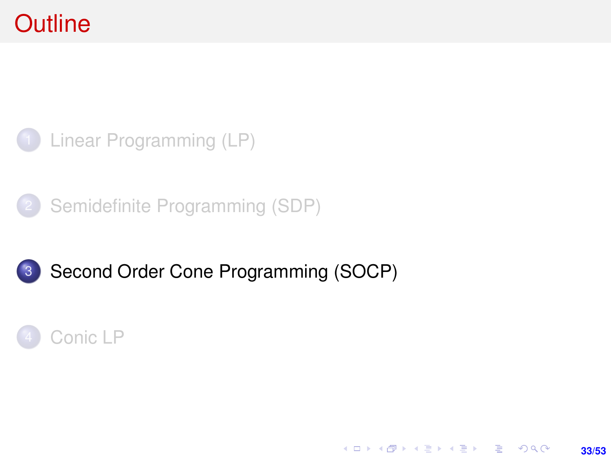# <span id="page-32-0"></span>**Outline**



[Semidefinite Programming \(SDP\)](#page-12-0)



# 3 [Second Order Cone Programming \(SOCP\)](#page-32-0)

**33/53**

K ロ ▶ K @ ▶ K 할 ▶ K 할 ▶ ... 할 → 9 Q @

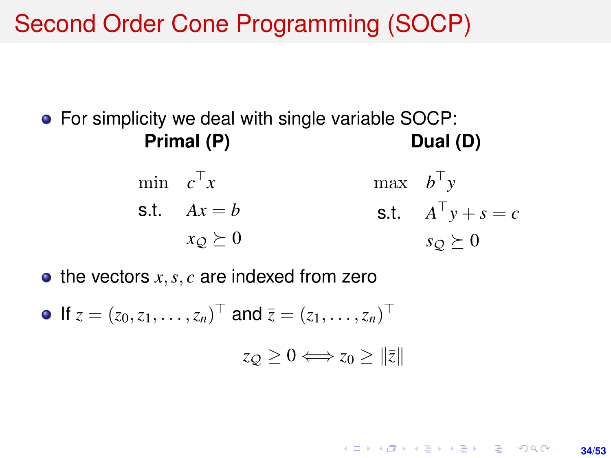Second Order Cone Programming (SOCP)

● For simplicity we deal with single variable SOCP: **Primal (P) Dual (D)**

> min  $c^{\top}x$  $st$   $Ax = b$  $x_Q \succeq 0$  $\max$  *b*<sup>T</sup>y s.t.  $A^{\top}y + s = c$  $s_Q \succeq 0$

> > **34/53**

**KORKARK A BIK BIKA A GA A GA A GA A BIKA A BIKA A BIKA A BIKA A BIKA A BIKA A BIKA A BIKA A BIKA A BIKA A BIKA** 

 $\bullet$  the vectors  $x, s, c$  are indexed from zero

If  $z = (z_0, z_1, \dots, z_n)^\top$  and  $\overline{z} = (z_1, \dots, z_n)^\top$  $z_{\mathcal{O}} > 0 \Longleftrightarrow z_{\mathcal{O}} > ||\overline{z}||$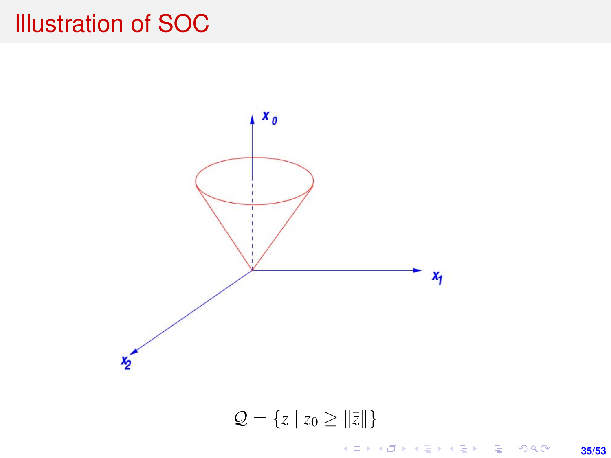# Illustration of SOC



 $Q = \{z \mid z_0 \geq ||\bar{z}||\}$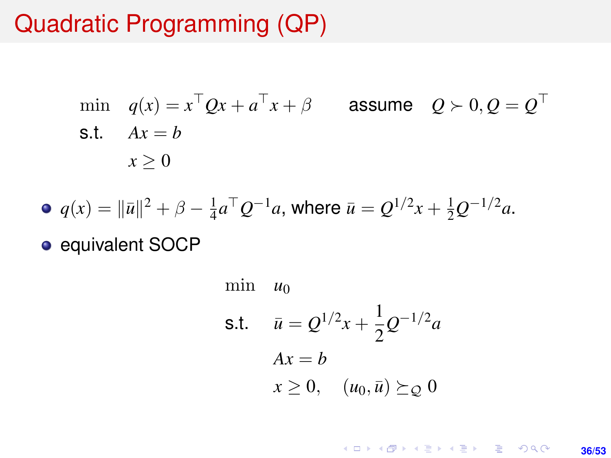# Quadratic Programming (QP)

min 
$$
q(x) = x^{\top}Qx + a^{\top}x + \beta
$$
 assume  $Q \succ 0, Q = Q^{\top}$   
s.t.  $Ax = b$   
 $x \ge 0$ 

• 
$$
q(x) = ||\bar{u}||^2 + \beta - \frac{1}{4}a^{\top}Q^{-1}a
$$
, where  $\bar{u} = Q^{1/2}x + \frac{1}{2}Q^{-1/2}a$ .

• equivalent SOCP

min 
$$
u_0
$$
  
\ns.t.  $\bar{u} = Q^{1/2}x + \frac{1}{2}Q^{-1/2}a$   
\n $Ax = b$   
\n $x \ge 0$ ,  $(u_0, \bar{u}) \succeq_Q 0$ 

K ロ X (日) X (日) X (日) X (日) X (日) X (日) X (日) X (日) X (日) X (日) **36/53**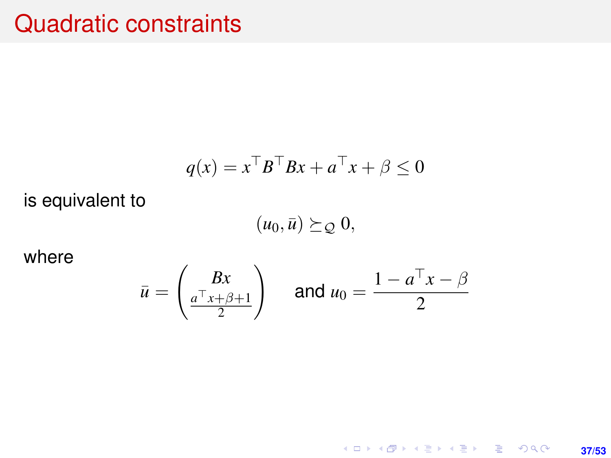## Quadratic constraints

$$
q(x) = x^{\top}B^{\top}Bx + a^{\top}x + \beta \le 0
$$

is equivalent to

 $(u_0, \bar{u}) \succeq_{\mathcal{Q}} 0,$ 

where

$$
\bar{u} = \begin{pmatrix} Bx \\ \frac{a^{\top}x + \beta + 1}{2} \end{pmatrix} \quad \text{and } u_0 = \frac{1 - a^{\top}x - \beta}{2}
$$

K ロ X x (個) X x ミ X x ミ X = 3 → 5 × 0 4 0 × **37/53**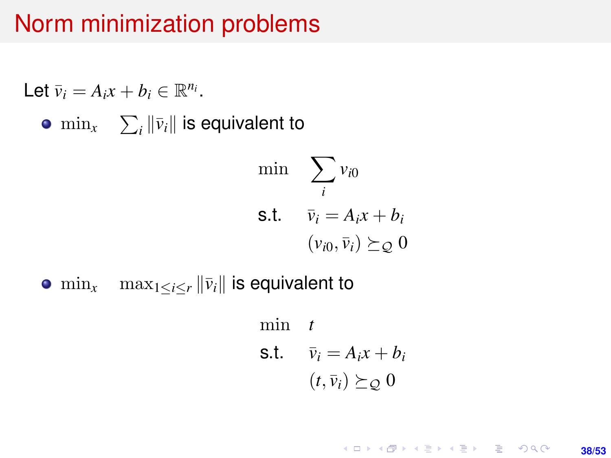## Norm minimization problems

Let 
$$
\bar{v}_i = A_i x + b_i \in \mathbb{R}^{n_i}
$$
.  
\n•  $\min_x \sum_i ||\bar{v}_i||$  is equivalent to  
\n $\min_{i} \sum_i v_{i0}$   
\n**s.t.**  $\bar{v}_i = A_i x + b_i$   
\n $(v_{i0}, \bar{v}_i) \succeq_{\mathcal{Q}} 0$ 

•  $\min_{x}$   $\max_{1 \leq i \leq r} ||\bar{v}_i||$  is equivalent to

min *t* s.t.  $\bar{v}_i = A_i x + b_i$  $(t, \bar{v}_i) \succeq_{\mathcal{O}} 0$ 

> K ロ ▶ K @ ▶ K 할 ▶ K 할 ▶ ... 할 → 9 Q @ **38/53**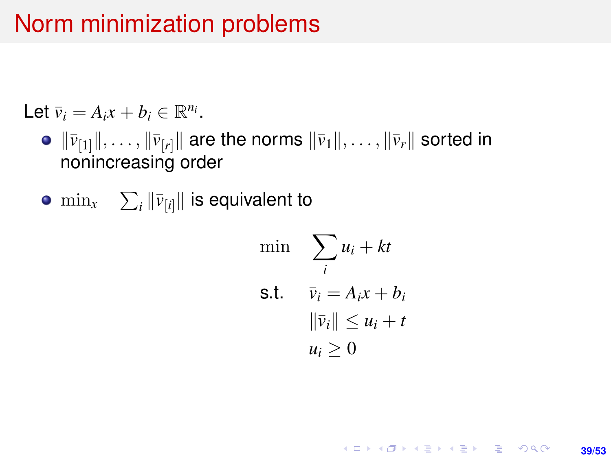## Norm minimization problems

Let  $\bar{v}_i = A_i x + b_i \in \mathbb{R}^{n_i}$ .

- $\bullet$   $\|\bar{v}_{[1]}\|, \ldots, \|\bar{v}_{[r]}\|$  are the norms  $\|\bar{v}_1\|, \ldots, \|\bar{v}_r\|$  sorted in nonincreasing order
- $\min_{x} \quad \sum_{i} \|\bar{\nu}_{[i]}\|$  is equivalent to

min 
$$
\sum_{i} u_i + kt
$$
  
s.t. 
$$
\overline{v}_i = A_i x + b_i
$$

$$
\|\overline{v}_i\| \le u_i + t
$$

$$
u_i \ge 0
$$

**KORKARK KERKER DRAM** 

**39/53**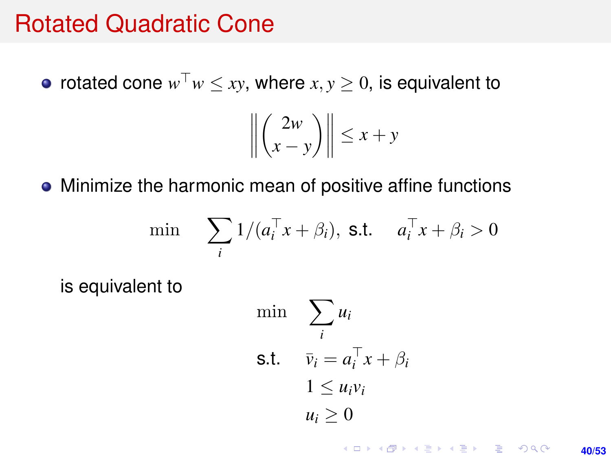### Rotated Quadratic Cone

rotated cone  $w^{\top}w \leq xy$ , where  $x, y \geq 0$ , is equivalent to

$$
\left\| \binom{2w}{x-y} \right\| \le x+y
$$

• Minimize the harmonic mean of positive affine functions

$$
\min \sum_{i} 1/(a_i^{\top} x + \beta_i), \text{ s.t. } a_i^{\top} x + \beta_i > 0
$$

is equivalent to

$$
\begin{aligned}\n\min \quad & \sum_{i} u_i \\
\text{s.t.} \quad & \bar{v}_i = a_i^\top x + \beta_i \\
& 1 \le u_i v_i \\
& u_i \ge 0\n\end{aligned}
$$

K ロ ▶ K @ ▶ K 할 ▶ K 할 ▶ ... 할 → 9 Q @ **40/53**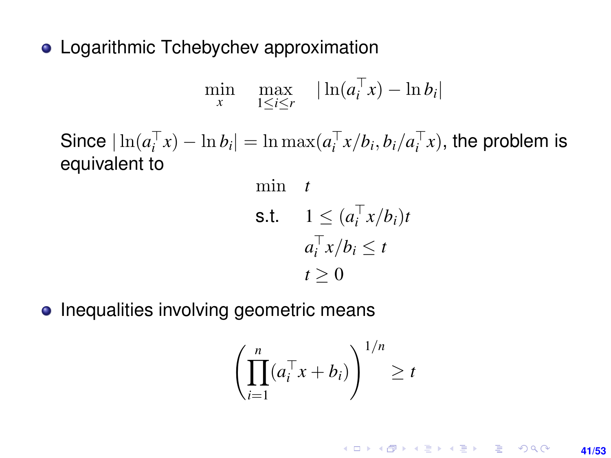• Logarithmic Tchebychev approximation

$$
\min_{x} \quad \max_{1 \leq i \leq r} \quad |\ln(a_i^\top x) - \ln b_i|
$$

Since  $|\ln(a_i^{\top} x) - \ln b_i| = \ln \max(a_i^{\top} x/b_i, b_i/a_i^{\top} x)$ , the problem is equivalent to

min t  
\ns.t. 
$$
1 \leq (a_i^\top x/b_i)t
$$
  
\n $a_i^\top x/b_i \leq t$   
\n $t \geq 0$ 

• Inequalities involving geometric means

$$
\left(\prod_{i=1}^n (a_i^\top x + b_i)\right)^{1/n} \ge t
$$

KO KKO KARA VE KARA **41/53**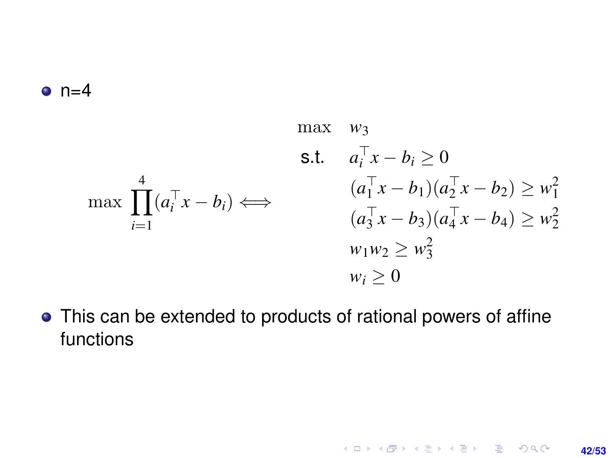#### $o$  n=4

$$
\max \quad w_3
$$
\n
$$
\text{s.t.} \quad a_i^{\top} x - b_i \ge 0
$$
\n
$$
\max \prod_{i=1}^4 (a_i^{\top} x - b_i) \Longleftrightarrow \qquad \begin{array}{c} (a_1^{\top} x - b_1)(a_2^{\top} x - b_2) \ge w_1^2\\ (a_3^{\top} x - b_3)(a_4^{\top} x - b_4) \ge w_2^2\\ w_1 w_2 \ge w_3^2\\ w_i \ge 0 \end{array}
$$

This can be extended to products of rational powers of affine functions

**42/53**

K ロ X x (個) X x ミ X x ミ X = 3 → 5 × 0 4 0 ×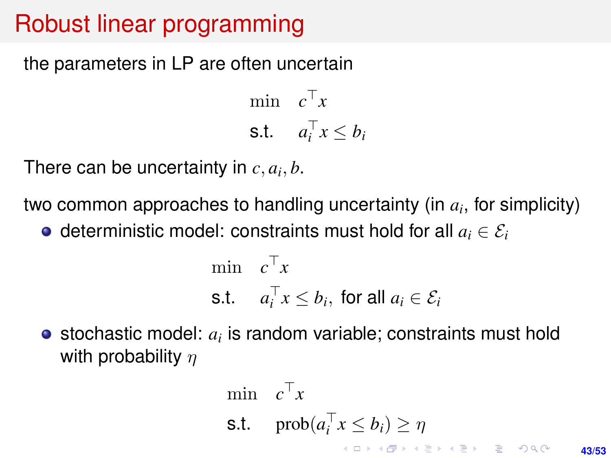# Robust linear programming

the parameters in LP are often uncertain

min  $c^{\top}x$ s.t.  $a_i^\top x \leq b_i$ 

There can be uncertainty in  $c, a_i, b$ .

two common approaches to handling uncertainty (in *a<sup>i</sup>* , for simplicity)

 $\bullet$  deterministic model: constraints must hold for all  $a_i \in \mathcal{E}_i$ 

$$
\begin{aligned}\n\min \quad & c^\top x \\
\text{s.t.} \quad & a_i^\top x \le b_i, \text{ for all } a_i \in \mathcal{E}_i\n\end{aligned}
$$

stochastic model: *a<sup>i</sup>* is random variable; constraints must hold with probability  $n$ 

$$
\begin{array}{ll}\n\min & c^{\top}x \\
\text{s.t.} & \text{prob}(a_i^{\top}x \le b_i) \ge \eta \\
\text{s.t.} & \text{prob}(a_i^{\top}x \le b_i) \ge \eta \\
\end{array}
$$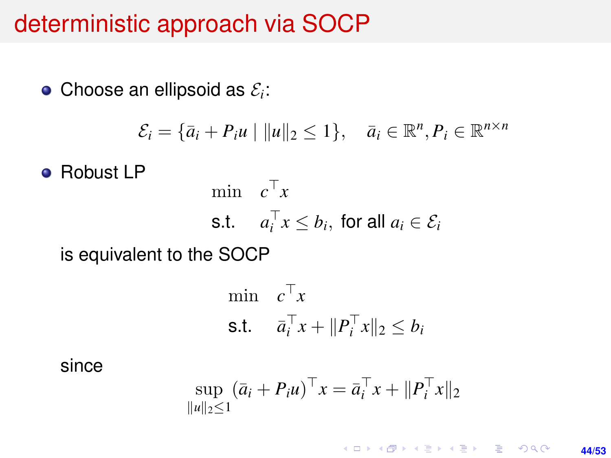### deterministic approach via SOCP

Choose an ellipsoid as  $\mathcal{E}_i$ :

$$
\mathcal{E}_i = \{\bar{a}_i + P_i u \mid ||u||_2 \le 1\}, \quad \bar{a}_i \in \mathbb{R}^n, P_i \in \mathbb{R}^{n \times n}
$$

**e** Robust LP

$$
\begin{aligned}\n\min \quad & c^\top x \\
\text{s.t.} \quad & a_i^\top x \le b_i, \text{ for all } a_i \in \mathcal{E}_i\n\end{aligned}
$$

is equivalent to the SOCP

$$
\begin{aligned}\n\min \quad & c^\top x \\
\text{s.t.} \quad & \bar{a}_i^\top x + \|P_i^\top x\|_2 \le b_i\n\end{aligned}
$$

since

$$
\sup_{\|u\|_2\leq 1} (\bar{a}_i + P_i u)^{\top} x = \bar{a}_i^{\top} x + \|P_i^{\top} x\|_2
$$

K ロ ▶ K @ ▶ K 할 ▶ K 할 ▶ ... 할 → 9 Q @ **44/53**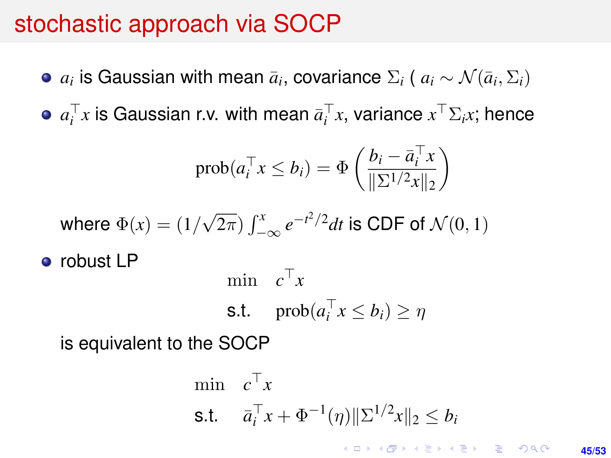# stochastic approach via SOCP

- $a_i$  is Gaussian with mean  $\bar{a}_i$ , covariance  $\Sigma_i$  (  $a_i \sim \mathcal{N}(\bar{a}_i, \Sigma_i)$
- $a_i^\top x$  is Gaussian r.v. with mean  $\bar{a}_i^\top x$ , variance  $x^\top \Sigma_i x$ ; hence

$$
\text{prob}(a_i^\top x \le b_i) = \Phi\left(\frac{b_i - \bar{a}_i^\top x}{\|\Sigma^{1/2} x\|_2}\right)
$$

where 
$$
\Phi(x) = (1/\sqrt{2\pi}) \int_{-\infty}^{x} e^{-t^2/2} dt
$$
 is CDF of  $\mathcal{N}(0, 1)$ 

• robust LP

$$
\begin{aligned}\n\min \quad & c^{\top} x \\
\text{s.t.} \quad & \text{prob}(a_i^{\top} x \le b_i) \ge \eta\n\end{aligned}
$$

is equivalent to the SOCP

$$
\begin{aligned}\n\min \quad & c^\top x \\
\text{s.t.} \quad & \bar{a}_i^\top x + \Phi^{-1}(\eta) \|\Sigma^{1/2} x\|_2 \le b_i \\
& \text{for all } x \in \mathbb{R} \text{ and } \bar{a} \in \mathbb{R} \text{ and } \bar{a} \in \mathbb{R} \text{ and } \bar{a} \in \mathbb{R} \text{ and } \bar{a} \in \mathbb{R} \text{ and } \bar{a} \in \mathbb{R} \text{ and } \bar{a} \in \mathbb{R} \text{ and } \bar{a} \in \mathbb{R} \text{ and } \bar{a} \in \mathbb{R} \text{ and } \bar{a} \in \mathbb{R} \text{ and } \bar{a} \in \mathbb{R} \text{ and } \bar{a} \in \mathbb{R} \text{ and } \bar{a} \in \mathbb{R} \text{ and } \bar{a} \in \mathbb{R} \text{ and } \bar{a} \in \mathbb{R} \text{ and } \bar{a} \in \mathbb{R} \text{ and } \bar{a} \in \mathbb{R} \text{ and } \bar{a} \in \mathbb{R} \text{ and } \bar{a} \in \mathbb{R} \text{ and } \bar{a} \in \mathbb{R} \text{ and } \bar{a} \in \mathbb{R} \text{ and } \bar{a} \in \mathbb{R} \text{ and } \bar{a} \in \mathbb{R} \text{ and } \bar{a} \in \mathbb{R} \text{ and } \bar{a} \in \mathbb{R} \text{ and } \bar{a} \in \mathbb{R} \text{ and } \bar{a} \in \mathbb{R} \text{ and } \bar{a} \in \mathbb{R} \text{ and } \bar{a} \in \mathbb{R} \text{ and } \bar{a} \in \mathbb{R} \text{ and } \bar{a} \in \mathbb{R} \text{ and } \bar{a} \in \mathbb{R} \text{ and } \bar{a} \in \mathbb{R} \text{ and } \bar{a} \in \mathbb{R} \text{ and } \bar{a} \in \mathbb{R} \text{ and } \bar{a} \in \mathbb{R} \text{ and } \bar{a} \in \mathbb{R} \text{ and } \bar{a} \in \mathbb{R} \text{ and } \bar{a} \in
$$

**45/53**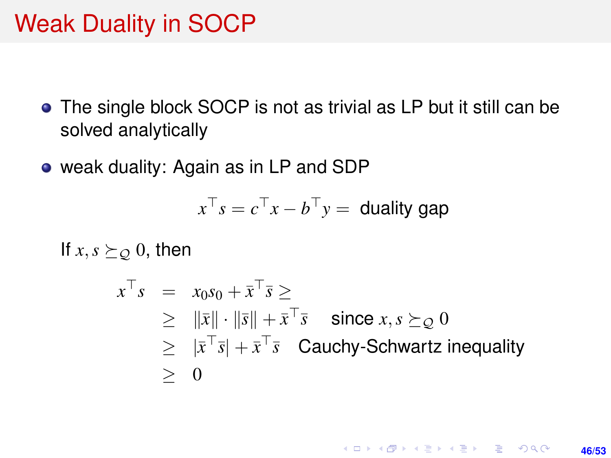# Weak Duality in SOCP

- The single block SOCP is not as trivial as LP but it still can be solved analytically
- weak duality: Again as in LP and SDP

$$
x^{\top} s = c^{\top} x - b^{\top} y =
$$
 duality gap

If  $x, s \succeq_{\mathcal{Q}} 0$ , then

$$
x^{\top} s = x_0 s_0 + \bar{x}^{\top} \bar{s} \ge
$$
  
\n
$$
\geq \|\bar{x}\| \cdot \|\bar{s}\| + \bar{x}^{\top} \bar{s} \quad \text{since } x, s \succeq_{\mathcal{Q}} 0
$$
  
\n
$$
\geq |\bar{x}^{\top} \bar{s}| + \bar{x}^{\top} \bar{s} \quad \text{Cauchy-Schwartz inequality}
$$
  
\n
$$
\geq 0
$$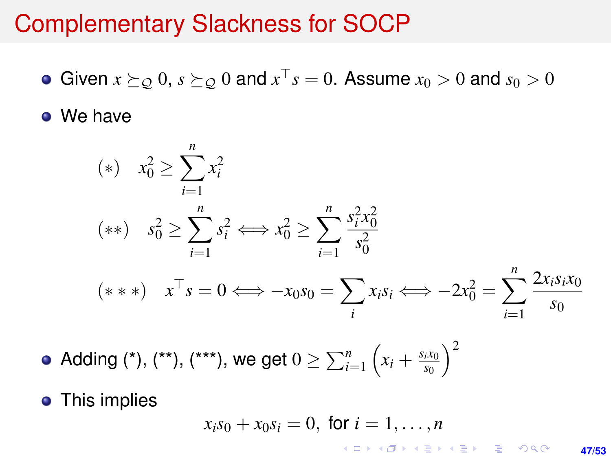### Complementary Slackness for SOCP

Given  $x \succeq_{\mathcal{Q}} 0$ ,  $s \succeq_{\mathcal{Q}} 0$  and  $x^{\top} s = 0$ . Assume  $x_0 > 0$  and  $s_0 > 0$ 

• We have

(\*) 
$$
x_0^2 \ge \sum_{i=1}^n x_i^2
$$
  
\n(\*\*)  $s_0^2 \ge \sum_{i=1}^n s_i^2 \iff x_0^2 \ge \sum_{i=1}^n \frac{s_i^2 x_0^2}{s_0^2}$   
\n(\*\*\*)  $x^\top s = 0 \iff -x_0 s_0 = \sum_i x_i s_i \iff -2x_0^2 = \sum_{i=1}^n \frac{2x_i s_i x_0}{s_0}$ 

Adding (\*), (\*\*), (\*\*\*), we get  $0 \ge \sum_{i=1}^n\left(x_i+\frac{s_i x_0}{s_0}\right)$ *s*0  $\chi^2$ 

• This implies

$$
x_i s_0 + x_0 s_i = 0, \text{ for } i = 1, \ldots, n
$$

**47/53**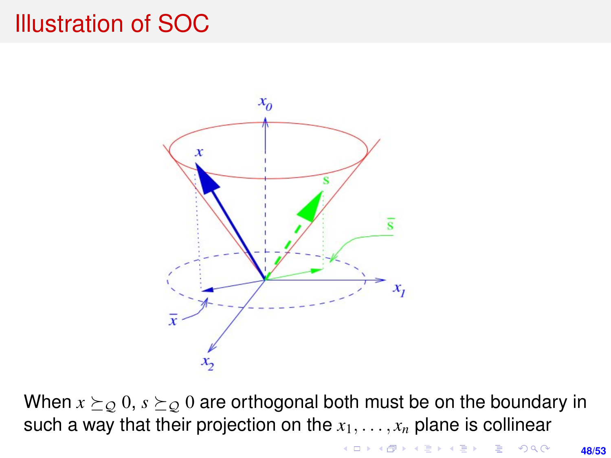## Illustration of SOC



When  $x \succeq_{\mathcal{Q}} 0$ ,  $s \succeq_{\mathcal{Q}} 0$  are orthogonal both must be on the boundary in such a way that their projection on the  $x_1, \ldots, x_n$  plane is collinear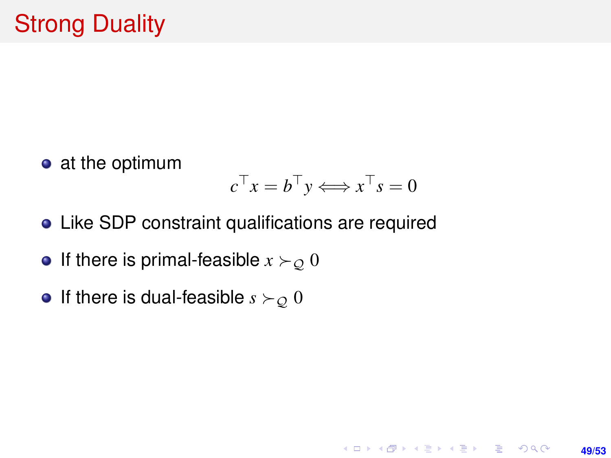• at the optimum

$$
c^{\top} x = b^{\top} y \Longleftrightarrow x^{\top} s = 0
$$

**49/53**

**KORKARK KERKER DRAM** 

- Like SDP constraint qualifications are required
- If there is primal-feasible  $x \succ o 0$
- If there is dual-feasible  $s \succ_{\mathcal{Q}} 0$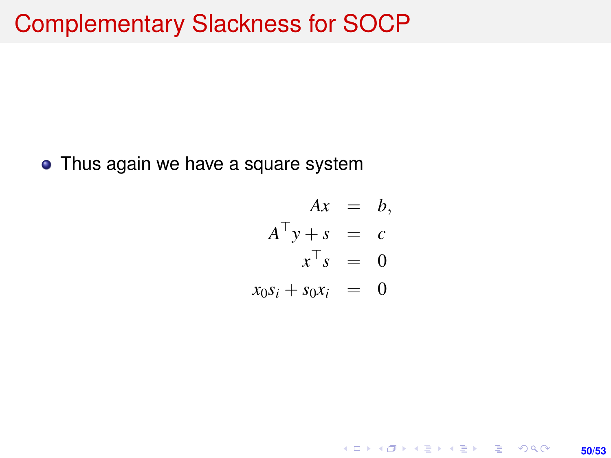## Complementary Slackness for SOCP

• Thus again we have a square system

$$
Ax = b,
$$
  
\n
$$
A^{\top}y + s = c
$$
  
\n
$$
x^{\top} s = 0
$$
  
\n
$$
x_0 s_i + s_0 x_i = 0
$$

**50/53**

K ロ ▶ K @ ▶ K 할 ▶ K 할 ▶ 이 할 → 9 Q @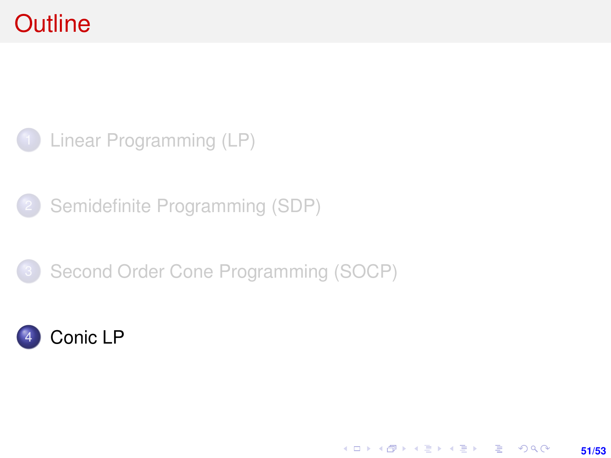# <span id="page-50-0"></span>**Outline**



[Semidefinite Programming \(SDP\)](#page-12-0)





K ロ > K @ > K 할 > K 할 > → 할 → 9 Q @ **51/53**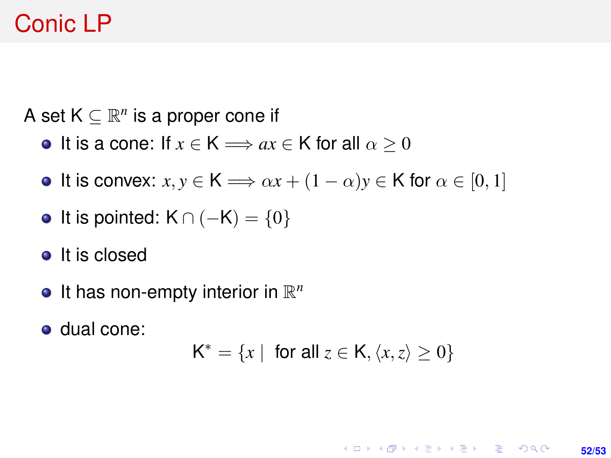# Conic LP

A set  $K \subseteq \mathbb{R}^n$  is a proper cone if

- It is a cone: If  $x \in K \Longrightarrow ax \in K$  for all  $\alpha \geq 0$
- **It is convex:**  $x, y \in K \implies \alpha x + (1 \alpha)y \in K$  for  $\alpha \in [0, 1]$
- It is pointed:  $K \cap (-K) = \{0\}$
- It is closed
- It has non-empty interior in R *n*
- dual cone:

 $K^* = \{x \mid \text{ for all } z \in K, \langle x, z \rangle \geq 0\}$ 

**KORKARK KERKER DRAM 52/53**